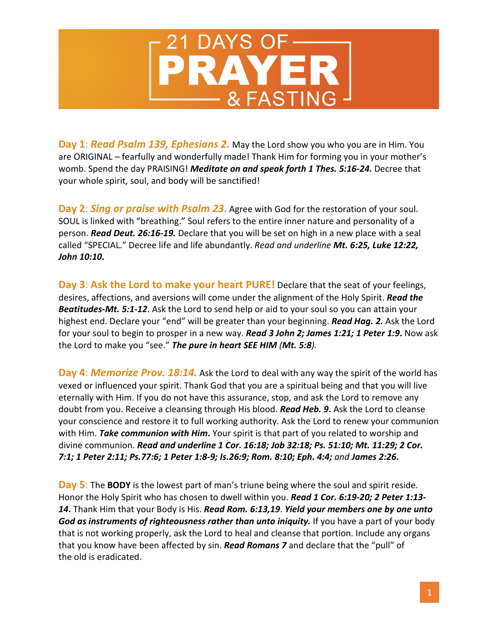

**Day 1**: *Read Psalm 139, Ephesians 2***.** May the Lord show you who you are in Him. You are ORIGINAL – fearfully and wonderfully made! Thank Him for forming you in your mother's womb. Spend the day PRAISING! *Meditate on and speak forth 1 Thes. 5:16-24***.** Decree that your whole spirit, soul, and body will be sanctified!

**Day 2**: *Sing or praise with Psalm 23***.** Agree with God for the restoration of your soul. SOUL is linked with "breathing." Soul refers to the entire inner nature and personality of a person. *Read Deut. 26:16-19.* Declare that you will be set on high in a new place with a seal called "SPECIAL." Decree life and life abundantly. *Read and underline Mt. 6:25, Luke 12:22, John 10:10***.**

**Day 3**: **Ask the Lord to make your heart PURE!** Declare that the seat of your feelings, desires, affections, and aversions will come under the alignment of the Holy Spirit. *Read the Beatitudes-Mt. 5:1-12*. Ask the Lord to send help or aid to your soul so you can attain your highest end. Declare your "end" will be greater than your beginning. *Read Hag. 2.* Ask the Lord for your soul to begin to prosper in a new way. *Read 3 John 2; James 1:21; 1 Peter 1:9***.** Now ask the Lord to make you "see." *The pure in heart SEE HIM (Mt. 5:8).*

**Day 4**: *Memorize Prov. 18:14.* Ask the Lord to deal with any way the spirit of the world has vexed or influenced your spirit. Thank God that you are a spiritual being and that you will live eternally with Him. If you do not have this assurance, stop, and ask the Lord to remove any doubt from you. Receive a cleansing through His blood. *Read Heb. 9***.** Ask the Lord to cleanse your conscience and restore it to full working authority. Ask the Lord to renew your communion with Him. *Take communion with Him***.** Your spirit is that part of you related to worship and divine communion. *Read and underline 1 Cor. 16:18; Job 32:18; Ps. 51:10; Mt. 11:29; 2 Cor. 7:1; 1 Peter 2:11; Ps.77:6; 1 Peter 1:8-9; Is.26:9; Rom. 8:10; Eph. 4:4; and James 2:26***.**

**Day 5**: The **BODY** is the lowest part of man's triune being where the soul and spirit reside. Honor the Holy Spirit who has chosen to dwell within you. *Read 1 Cor. 6:19-20; 2 Peter 1:13- 14***.** Thank Him that your Body is His. *Read Rom. 6:13,19*. *Yield your members one by one unto God as instruments of righteousness rather than unto iniquity.* If you have a part of your body that is not working properly, ask the Lord to heal and cleanse that portion. Include any organs that you know have been affected by sin. *Read Romans 7* and declare that the "pull" of the old is eradicated.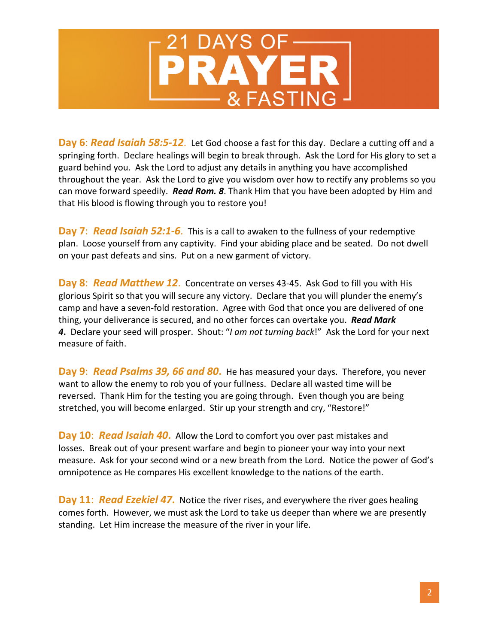

**Day 6**: *Read Isaiah 58:5-12*. Let God choose a fast for this day. Declare a cutting off and a springing forth. Declare healings will begin to break through. Ask the Lord for His glory to set a guard behind you. Ask the Lord to adjust any details in anything you have accomplished throughout the year. Ask the Lord to give you wisdom over how to rectify any problems so you can move forward speedily. *Read Rom. 8*. Thank Him that you have been adopted by Him and that His blood is flowing through you to restore you!

**Day 7**:*Read Isaiah 52:1-6*. This is a call to awaken to the fullness of your redemptive plan. Loose yourself from any captivity. Find your abiding place and be seated. Do not dwell on your past defeats and sins. Put on a new garment of victory.

**Day 8**:*Read Matthew 12*. Concentrate on verses 43-45. Ask God to fill you with His glorious Spirit so that you will secure any victory. Declare that you will plunder the enemy's camp and have a seven-fold restoration. Agree with God that once you are delivered of one thing, your deliverance is secured, and no other forces can overtake you. *Read Mark 4***.** Declare your seed will prosper. Shout: "*I am not turning back*!" Ask the Lord for your next measure of faith.

**Day 9**: *Read Psalms 39, 66 and 80***.** He has measured your days. Therefore, you never want to allow the enemy to rob you of your fullness. Declare all wasted time will be reversed. Thank Him for the testing you are going through. Even though you are being stretched, you will become enlarged. Stir up your strength and cry, "Restore!"

**Day 10**: *Read Isaiah 40***.** Allow the Lord to comfort you over past mistakes and losses. Break out of your present warfare and begin to pioneer your way into your next measure. Ask for your second wind or a new breath from the Lord. Notice the power of God's omnipotence as He compares His excellent knowledge to the nations of the earth.

**Day 11**: *Read Ezekiel 47***.** Notice the river rises, and everywhere the river goes healing comes forth. However, we must ask the Lord to take us deeper than where we are presently standing. Let Him increase the measure of the river in your life.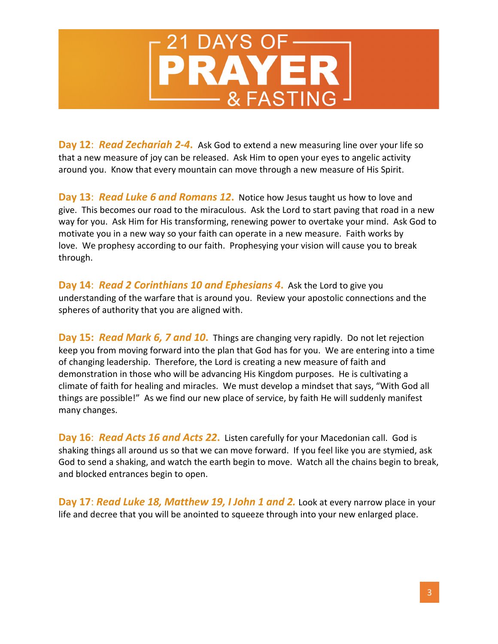

**Day 12**: *Read Zechariah 2-4***.** Ask God to extend a new measuring line over your life so that a new measure of joy can be released. Ask Him to open your eyes to angelic activity around you. Know that every mountain can move through a new measure of His Spirit.

**Day 13**: *Read Luke 6 and Romans 12***.** Notice how Jesus taught us how to love and give. This becomes our road to the miraculous. Ask the Lord to start paving that road in a new way for you. Ask Him for His transforming, renewing power to overtake your mind. Ask God to motivate you in a new way so your faith can operate in a new measure. Faith works by love. We prophesy according to our faith. Prophesying your vision will cause you to break through.

**Day 14**: *Read 2 Corinthians 10 and Ephesians 4***.** Ask the Lord to give you understanding of the warfare that is around you. Review your apostolic connections and the spheres of authority that you are aligned with.

**Day 15:** *Read Mark 6, 7 and 10***.** Things are changing very rapidly. Do not let rejection keep you from moving forward into the plan that God has for you. We are entering into a time of changing leadership. Therefore, the Lord is creating a new measure of faith and demonstration in those who will be advancing His Kingdom purposes. He is cultivating a climate of faith for healing and miracles. We must develop a mindset that says, "With God all things are possible!" As we find our new place of service, by faith He will suddenly manifest many changes.

**Day 16**: *Read Acts 16 and Acts 22***.** Listen carefully for your Macedonian call. God is shaking things all around us so that we can move forward. If you feel like you are stymied, ask God to send a shaking, and watch the earth begin to move. Watch all the chains begin to break, and blocked entrances begin to open.

**Day 17**: *Read Luke 18, Matthew 19, I John 1 and 2.* Look at every narrow place in your life and decree that you will be anointed to squeeze through into your new enlarged place.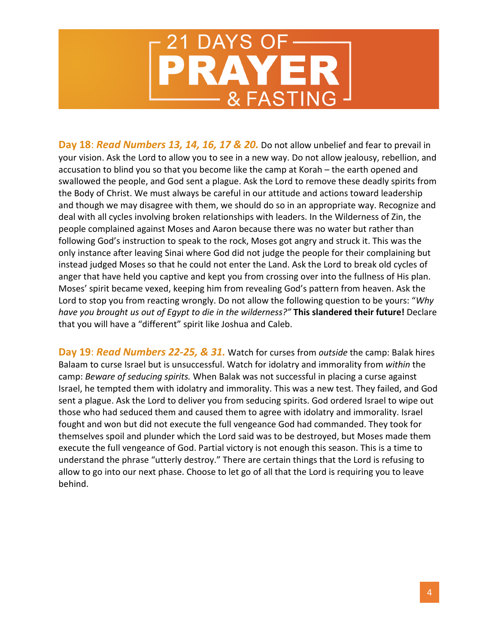

**Day 18**: *Read Numbers 13, 14, 16, 17 & 20.* Do not allow unbelief and fear to prevail in your vision. Ask the Lord to allow you to see in a new way. Do not allow jealousy, rebellion, and accusation to blind you so that you become like the camp at Korah – the earth opened and swallowed the people, and God sent a plague. Ask the Lord to remove these deadly spirits from the Body of Christ. We must always be careful in our attitude and actions toward leadership and though we may disagree with them, we should do so in an appropriate way. Recognize and deal with all cycles involving broken relationships with leaders. In the Wilderness of Zin, the people complained against Moses and Aaron because there was no water but rather than following God's instruction to speak to the rock, Moses got angry and struck it. This was the only instance after leaving Sinai where God did not judge the people for their complaining but instead judged Moses so that he could not enter the Land. Ask the Lord to break old cycles of anger that have held you captive and kept you from crossing over into the fullness of His plan. Moses' spirit became vexed, keeping him from revealing God's pattern from heaven. Ask the Lord to stop you from reacting wrongly. Do not allow the following question to be yours: "*Why have you brought us out of Egypt to die in the wilderness?"* **This slandered their future!** Declare that you will have a "different" spirit like Joshua and Caleb.

**Day 19**: *Read Numbers 22-25, & 31.* Watch for curses from *outside* the camp: Balak hires Balaam to curse Israel but is unsuccessful. Watch for idolatry and immorality from *within* the camp: *Beware of seducing spirits.* When Balak was not successful in placing a curse against Israel, he tempted them with idolatry and immorality. This was a new test. They failed, and God sent a plague. Ask the Lord to deliver you from seducing spirits. God ordered Israel to wipe out those who had seduced them and caused them to agree with idolatry and immorality. Israel fought and won but did not execute the full vengeance God had commanded. They took for themselves spoil and plunder which the Lord said was to be destroyed, but Moses made them execute the full vengeance of God. Partial victory is not enough this season. This is a time to understand the phrase "utterly destroy." There are certain things that the Lord is refusing to allow to go into our next phase. Choose to let go of all that the Lord is requiring you to leave behind.